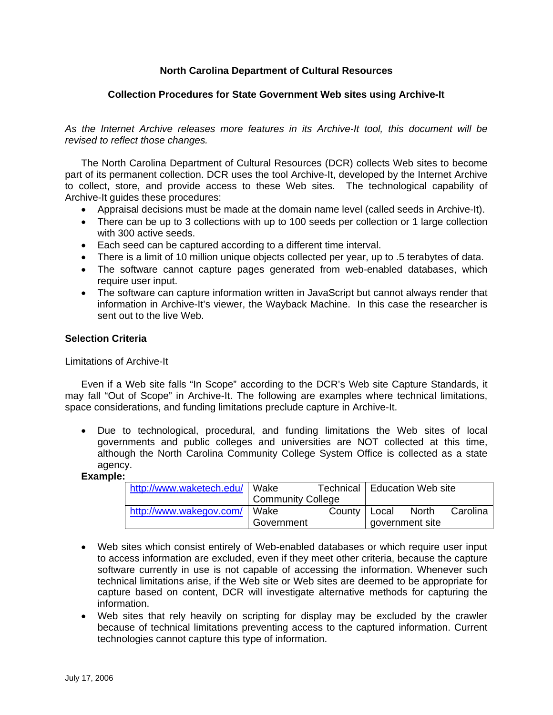# **North Carolina Department of Cultural Resources**

# **Collection Procedures for State Government Web sites using Archive-It**

*As the Internet Archive releases more features in its Archive-It tool, this document will be revised to reflect those changes.* 

The North Carolina Department of Cultural Resources (DCR) collects Web sites to become part of its permanent collection. DCR uses the tool Archive-It, developed by the Internet Archive to collect, store, and provide access to these Web sites. The technological capability of Archive-It guides these procedures:

- Appraisal decisions must be made at the domain name level (called seeds in Archive-It).
- There can be up to 3 collections with up to 100 seeds per collection or 1 large collection with 300 active seeds.
- Each seed can be captured according to a different time interval.
- There is a limit of 10 million unique objects collected per year, up to .5 terabytes of data.
- The software cannot capture pages generated from web-enabled databases, which require user input.
- The software can capture information written in JavaScript but cannot always render that information in Archive-It's viewer, the Wayback Machine. In this case the researcher is sent out to the live Web.

# **Selection Criteria**

Limitations of Archive-It

Even if a Web site falls "In Scope" according to the DCR's Web site Capture Standards, it may fall "Out of Scope" in Archive-It. The following are examples where technical limitations, space considerations, and funding limitations preclude capture in Archive-It.

• Due to technological, procedural, and funding limitations the Web sites of local governments and public colleges and universities are NOT collected at this time, although the North Carolina Community College System Office is collected as a state agency.

#### **Example:**

| http://www.waketech.edu/ Wake |                          |                      | Technical   Education Web site |  |          |
|-------------------------------|--------------------------|----------------------|--------------------------------|--|----------|
|                               | <b>Community College</b> |                      |                                |  |          |
| http://www.wakegov.com/ Wake  |                          | County   Local North |                                |  | Carolina |
|                               | Government               |                      | government site                |  |          |

- Web sites which consist entirely of Web-enabled databases or which require user input to access information are excluded, even if they meet other criteria, because the capture software currently in use is not capable of accessing the information. Whenever such technical limitations arise, if the Web site or Web sites are deemed to be appropriate for capture based on content, DCR will investigate alternative methods for capturing the information.
- Web sites that rely heavily on scripting for display may be excluded by the crawler because of technical limitations preventing access to the captured information. Current technologies cannot capture this type of information.